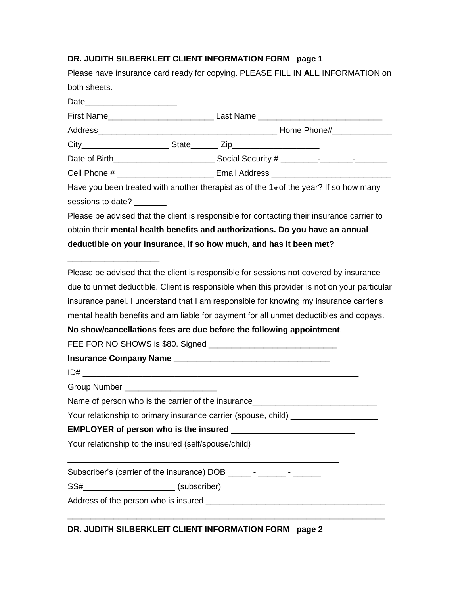# **DR. JUDITH SILBERKLEIT CLIENT INFORMATION FORM page 1**

|                                                                    | Please have insurance card ready for copying. PLEASE FILL IN ALL INFORMATION on             |  |  |
|--------------------------------------------------------------------|---------------------------------------------------------------------------------------------|--|--|
| both sheets.                                                       |                                                                                             |  |  |
|                                                                    |                                                                                             |  |  |
|                                                                    |                                                                                             |  |  |
|                                                                    |                                                                                             |  |  |
|                                                                    |                                                                                             |  |  |
|                                                                    |                                                                                             |  |  |
|                                                                    | Cell Phone # ________________________________ Email Address _____________________           |  |  |
|                                                                    | Have you been treated with another therapist as of the $1st$ of the year? If so how many    |  |  |
| sessions to date?                                                  |                                                                                             |  |  |
|                                                                    | Please be advised that the client is responsible for contacting their insurance carrier to  |  |  |
|                                                                    | obtain their mental health benefits and authorizations. Do you have an annual               |  |  |
| deductible on your insurance, if so how much, and has it been met? |                                                                                             |  |  |
|                                                                    | Please be advised that the client is responsible for sessions not covered by insurance      |  |  |
|                                                                    | due to unmet deductible. Client is responsible when this provider is not on your particular |  |  |
|                                                                    | insurance panel. I understand that I am responsible for knowing my insurance carrier's      |  |  |
|                                                                    | mental health benefits and am liable for payment for all unmet deductibles and copays.      |  |  |
|                                                                    | No show/cancellations fees are due before the following appointment.                        |  |  |
|                                                                    |                                                                                             |  |  |
|                                                                    |                                                                                             |  |  |
|                                                                    |                                                                                             |  |  |
| Group Number _______________________                               |                                                                                             |  |  |
|                                                                    | Name of person who is the carrier of the insurance                                          |  |  |
|                                                                    | Your relationship to primary insurance carrier (spouse, child) _________________            |  |  |
|                                                                    |                                                                                             |  |  |
| Your relationship to the insured (self/spouse/child)               |                                                                                             |  |  |
|                                                                    |                                                                                             |  |  |
| SS#__________________________(subscriber)                          |                                                                                             |  |  |
|                                                                    |                                                                                             |  |  |
|                                                                    |                                                                                             |  |  |

**DR. JUDITH SILBERKLEIT CLIENT INFORMATION FORM page 2**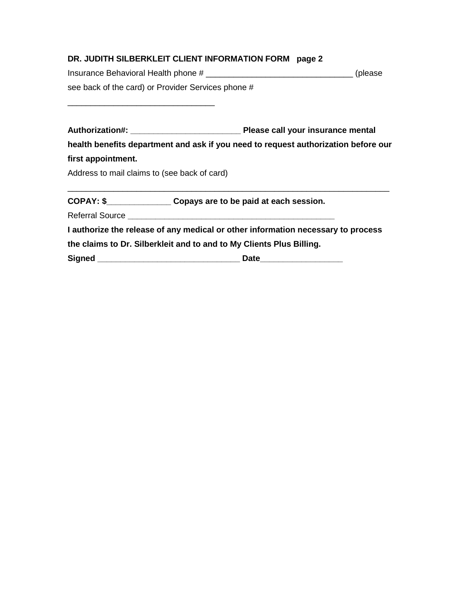# **DR. JUDITH SILBERKLEIT CLIENT INFORMATION FORM page 2**

| Insurance Behavioral Health phone #                | (please) |
|----------------------------------------------------|----------|
| see back of the card) or Provider Services phone # |          |

**Authorization#: \_\_\_\_\_\_\_\_\_\_\_\_\_\_\_\_\_\_\_\_\_\_\_\_ Please call your insurance mental health benefits department and ask if you need to request authorization before our first appointment.** Address to mail claims to (see back of card)

\_\_\_\_\_\_\_\_\_\_\_\_\_\_\_\_\_\_\_\_\_\_\_\_\_\_\_\_\_\_\_\_\_\_\_\_\_\_\_\_\_\_\_\_\_\_\_\_\_\_\_\_\_\_\_\_\_\_\_\_\_\_\_\_\_\_\_\_\_\_

**COPAY: \$\_\_\_\_\_\_\_\_\_\_\_\_\_\_ Copays are to be paid at each session.**

Referral Source **\_\_\_\_\_\_\_\_\_\_\_\_\_\_\_\_\_\_\_\_\_\_\_\_\_\_\_\_\_\_\_\_\_\_\_\_\_\_\_\_\_\_\_\_\_** 

\_\_\_\_\_\_\_\_\_\_\_\_\_\_\_\_\_\_\_\_\_\_\_\_\_\_\_\_\_\_\_\_

**I authorize the release of any medical or other information necessary to process the claims to Dr. Silberkleit and to and to My Clients Plus Billing.** 

**Signed \_\_\_\_\_\_\_\_\_\_\_\_\_\_\_\_\_\_\_\_\_\_\_\_\_\_\_\_\_\_\_ Date\_\_\_\_\_\_\_\_\_\_\_\_\_\_\_\_\_\_**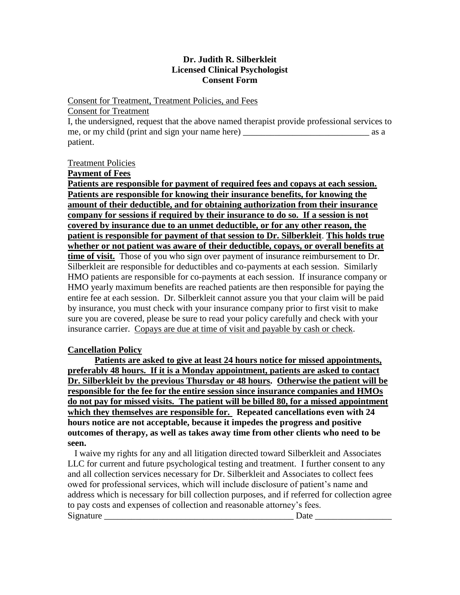# **Dr. Judith R. Silberkleit Licensed Clinical Psychologist Consent Form**

### Consent for Treatment, Treatment Policies, and Fees

Consent for Treatment

I, the undersigned, request that the above named therapist provide professional services to me, or my child (print and sign your name here) \_\_\_\_\_\_\_\_\_\_\_\_\_\_\_\_\_\_\_\_\_\_\_\_\_\_\_\_ as a patient.

# Treatment Policies

**Payment of Fees**

**Patients are responsible for payment of required fees and copays at each session. Patients are responsible for knowing their insurance benefits, for knowing the amount of their deductible, and for obtaining authorization from their insurance company for sessions if required by their insurance to do so. If a session is not covered by insurance due to an unmet deductible, or for any other reason, the patient is responsible for payment of that session to Dr. Silberkleit**. **This holds true whether or not patient was aware of their deductible, copays, or overall benefits at time of visit.** Those of you who sign over payment of insurance reimbursement to Dr. Silberkleit are responsible for deductibles and co-payments at each session. Similarly HMO patients are responsible for co-payments at each session. If insurance company or HMO yearly maximum benefits are reached patients are then responsible for paying the entire fee at each session. Dr. Silberkleit cannot assure you that your claim will be paid by insurance, you must check with your insurance company prior to first visit to make sure you are covered, please be sure to read your policy carefully and check with your insurance carrier. Copays are due at time of visit and payable by cash or check.

# **Cancellation Policy**

**Patients are asked to give at least 24 hours notice for missed appointments, preferably 48 hours. If it is a Monday appointment, patients are asked to contact Dr. Silberkleit by the previous Thursday or 48 hours. Otherwise the patient will be responsible for the fee for the entire session since insurance companies and HMOs do not pay for missed visits. The patient will be billed 80, for a missed appointment which they themselves are responsible for. Repeated cancellations even with 24 hours notice are not acceptable, because it impedes the progress and positive outcomes of therapy, as well as takes away time from other clients who need to be seen.** 

 I waive my rights for any and all litigation directed toward Silberkleit and Associates LLC for current and future psychological testing and treatment. I further consent to any and all collection services necessary for Dr. Silberkleit and Associates to collect fees owed for professional services, which will include disclosure of patient's name and address which is necessary for bill collection purposes, and if referred for collection agree to pay costs and expenses of collection and reasonable attorney's fees. Signature **Example 2.1 Second 2.1 and 2.1 and 2.1 and 2.1 and 2.1 and 2.1 and 2.1 and 2.1 and 2.1 and 2.1 and 2.1 and 2.1 and 2.1 and 2.1 and 2.1 and 2.1 and 2.1 and 2.1 and 2.1 and 2.1 and 2.1 and 2.1 and 2.1 and 2.1 and**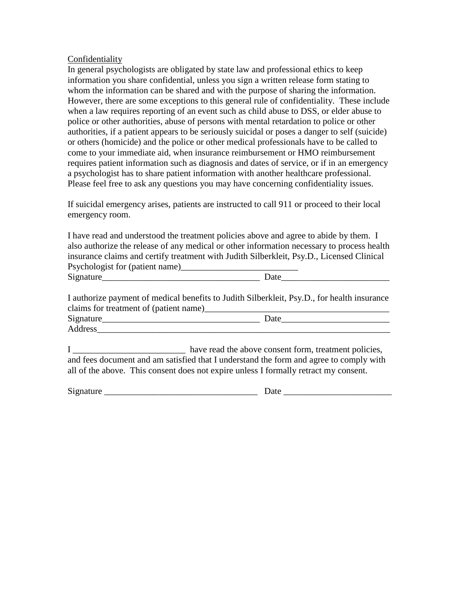### Confidentiality

In general psychologists are obligated by state law and professional ethics to keep information you share confidential, unless you sign a written release form stating to whom the information can be shared and with the purpose of sharing the information. However, there are some exceptions to this general rule of confidentiality. These include when a law requires reporting of an event such as child abuse to DSS, or elder abuse to police or other authorities, abuse of persons with mental retardation to police or other authorities, if a patient appears to be seriously suicidal or poses a danger to self (suicide) or others (homicide) and the police or other medical professionals have to be called to come to your immediate aid, when insurance reimbursement or HMO reimbursement requires patient information such as diagnosis and dates of service, or if in an emergency a psychologist has to share patient information with another healthcare professional. Please feel free to ask any questions you may have concerning confidentiality issues.

If suicidal emergency arises, patients are instructed to call 911 or proceed to their local emergency room.

I have read and understood the treatment policies above and agree to abide by them. I also authorize the release of any medical or other information necessary to process health insurance claims and certify treatment with Judith Silberkleit, Psy.D., Licensed Clinical Psychologist for (patient name)\_\_\_\_\_\_\_\_\_\_\_\_\_\_\_\_\_\_\_\_\_\_\_\_\_\_  $\Box$  Date

I authorize payment of medical benefits to Judith Silberkleit, Psy.D., for health insurance claims for treatment of (patient name)\_\_\_\_\_\_\_\_\_\_\_\_\_\_\_\_\_\_\_\_\_\_\_\_\_\_\_\_\_\_\_\_\_\_\_\_\_\_\_\_\_ Signature\_\_\_\_\_\_\_\_\_\_\_\_\_\_\_\_\_\_\_\_\_\_\_\_\_\_\_\_\_\_\_\_\_\_\_ Date\_\_\_\_\_\_\_\_\_\_\_\_\_\_\_\_\_\_\_\_\_\_\_\_ Address

I \_\_\_\_\_\_\_\_\_\_\_\_\_\_\_\_\_\_\_\_\_\_\_\_\_\_\_\_\_\_\_ have read the above consent form, treatment policies, and fees document and am satisfied that I understand the form and agree to comply with all of the above. This consent does not expire unless I formally retract my consent.

Signature \_\_\_\_\_\_\_\_\_\_\_\_\_\_\_\_\_\_\_\_\_\_\_\_\_\_\_\_\_\_\_\_\_\_ Date \_\_\_\_\_\_\_\_\_\_\_\_\_\_\_\_\_\_\_\_\_\_\_\_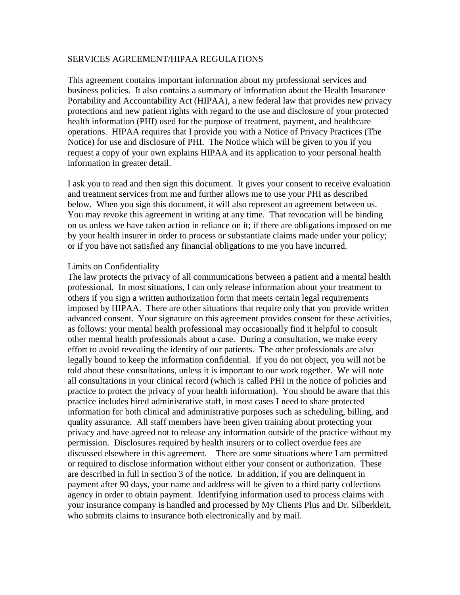#### SERVICES AGREEMENT/HIPAA REGULATIONS

This agreement contains important information about my professional services and business policies. It also contains a summary of information about the Health Insurance Portability and Accountability Act (HIPAA), a new federal law that provides new privacy protections and new patient rights with regard to the use and disclosure of your protected health information (PHI) used for the purpose of treatment, payment, and healthcare operations. HIPAA requires that I provide you with a Notice of Privacy Practices (The Notice) for use and disclosure of PHI. The Notice which will be given to you if you request a copy of your own explains HIPAA and its application to your personal health information in greater detail.

I ask you to read and then sign this document. It gives your consent to receive evaluation and treatment services from me and further allows me to use your PHI as described below. When you sign this document, it will also represent an agreement between us. You may revoke this agreement in writing at any time. That revocation will be binding on us unless we have taken action in reliance on it; if there are obligations imposed on me by your health insurer in order to process or substantiate claims made under your policy; or if you have not satisfied any financial obligations to me you have incurred.

#### Limits on Confidentiality

The law protects the privacy of all communications between a patient and a mental health professional. In most situations, I can only release information about your treatment to others if you sign a written authorization form that meets certain legal requirements imposed by HIPAA. There are other situations that require only that you provide written advanced consent. Your signature on this agreement provides consent for these activities, as follows: your mental health professional may occasionally find it helpful to consult other mental health professionals about a case. During a consultation, we make every effort to avoid revealing the identity of our patients. The other professionals are also legally bound to keep the information confidential. If you do not object, you will not be told about these consultations, unless it is important to our work together. We will note all consultations in your clinical record (which is called PHI in the notice of policies and practice to protect the privacy of your health information). You should be aware that this practice includes hired administrative staff, in most cases I need to share protected information for both clinical and administrative purposes such as scheduling, billing, and quality assurance. All staff members have been given training about protecting your privacy and have agreed not to release any information outside of the practice without my permission. Disclosures required by health insurers or to collect overdue fees are discussed elsewhere in this agreement. There are some situations where I am permitted or required to disclose information without either your consent or authorization. These are described in full in section 3 of the notice. In addition, if you are delinquent in payment after 90 days, your name and address will be given to a third party collections agency in order to obtain payment. Identifying information used to process claims with your insurance company is handled and processed by My Clients Plus and Dr. Silberkleit, who submits claims to insurance both electronically and by mail.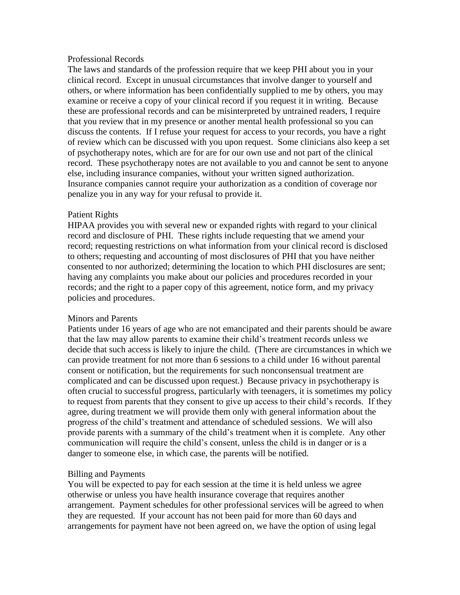### Professional Records

The laws and standards of the profession require that we keep PHI about you in your clinical record. Except in unusual circumstances that involve danger to yourself and others, or where information has been confidentially supplied to me by others, you may examine or receive a copy of your clinical record if you request it in writing. Because these are professional records and can be misinterpreted by untrained readers, I require that you review that in my presence or another mental health professional so you can discuss the contents. If I refuse your request for access to your records, you have a right of review which can be discussed with you upon request. Some clinicians also keep a set of psychotherapy notes, which are for are for our own use and not part of the clinical record. These psychotherapy notes are not available to you and cannot be sent to anyone else, including insurance companies, without your written signed authorization. Insurance companies cannot require your authorization as a condition of coverage nor penalize you in any way for your refusal to provide it.

# Patient Rights

HIPAA provides you with several new or expanded rights with regard to your clinical record and disclosure of PHI. These rights include requesting that we amend your record; requesting restrictions on what information from your clinical record is disclosed to others; requesting and accounting of most disclosures of PHI that you have neither consented to nor authorized; determining the location to which PHI disclosures are sent; having any complaints you make about our policies and procedures recorded in your records; and the right to a paper copy of this agreement, notice form, and my privacy policies and procedures.

# Minors and Parents

Patients under 16 years of age who are not emancipated and their parents should be aware that the law may allow parents to examine their child's treatment records unless we decide that such access is likely to injure the child. (There are circumstances in which we can provide treatment for not more than 6 sessions to a child under 16 without parental consent or notification, but the requirements for such nonconsensual treatment are complicated and can be discussed upon request.) Because privacy in psychotherapy is often crucial to successful progress, particularly with teenagers, it is sometimes my policy to request from parents that they consent to give up access to their child's records. If they agree, during treatment we will provide them only with general information about the progress of the child's treatment and attendance of scheduled sessions. We will also provide parents with a summary of the child's treatment when it is complete. Any other communication will require the child's consent, unless the child is in danger or is a danger to someone else, in which case, the parents will be notified.

# Billing and Payments

You will be expected to pay for each session at the time it is held unless we agree otherwise or unless you have health insurance coverage that requires another arrangement. Payment schedules for other professional services will be agreed to when they are requested. If your account has not been paid for more than 60 days and arrangements for payment have not been agreed on, we have the option of using legal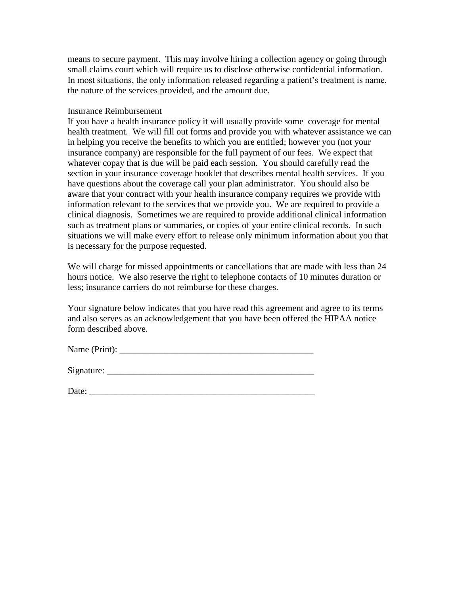means to secure payment. This may involve hiring a collection agency or going through small claims court which will require us to disclose otherwise confidential information. In most situations, the only information released regarding a patient's treatment is name, the nature of the services provided, and the amount due.

### Insurance Reimbursement

If you have a health insurance policy it will usually provide some coverage for mental health treatment. We will fill out forms and provide you with whatever assistance we can in helping you receive the benefits to which you are entitled; however you (not your insurance company) are responsible for the full payment of our fees. We expect that whatever copay that is due will be paid each session. You should carefully read the section in your insurance coverage booklet that describes mental health services. If you have questions about the coverage call your plan administrator. You should also be aware that your contract with your health insurance company requires we provide with information relevant to the services that we provide you. We are required to provide a clinical diagnosis. Sometimes we are required to provide additional clinical information such as treatment plans or summaries, or copies of your entire clinical records. In such situations we will make every effort to release only minimum information about you that is necessary for the purpose requested.

We will charge for missed appointments or cancellations that are made with less than 24 hours notice. We also reserve the right to telephone contacts of 10 minutes duration or less; insurance carriers do not reimburse for these charges.

Your signature below indicates that you have read this agreement and agree to its terms and also serves as an acknowledgement that you have been offered the HIPAA notice form described above.

| Name (Print): |  |
|---------------|--|
|               |  |

Signature:

| D.<br>νï<br>$\sim\!\sim\!\sim\!\sim$ . |  |  |  |
|----------------------------------------|--|--|--|
|                                        |  |  |  |